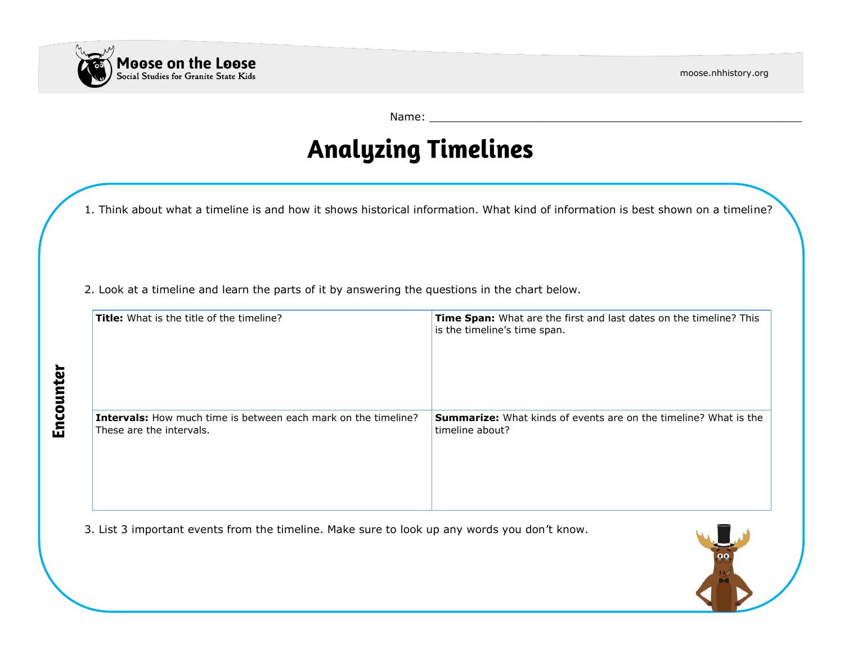

Encounter

moose.nhhistory.org

Name: \_\_\_\_\_\_\_\_\_\_\_\_\_\_\_\_\_\_\_\_\_\_\_\_\_\_\_\_\_\_\_\_\_\_\_\_\_\_\_\_\_\_\_\_\_\_\_\_\_\_\_\_\_\_\_

# **Analyzing Timelines**

1. Think about what a timeline is and how it shows historical information. What kind of information is best shown on a timeline?

2. Look at a timeline and learn the parts of it by answering the questions in the chart below.

| <b>Title:</b> What is the title of the timeline?                      | Time Span: What are the first and last dates on the timeline? This<br>is the timeline's time span. |
|-----------------------------------------------------------------------|----------------------------------------------------------------------------------------------------|
| <b>Intervals:</b> How much time is between each mark on the timeline? | <b>Summarize:</b> What kinds of events are on the timeline? What is the                            |
| These are the intervals.                                              | timeline about?                                                                                    |

3. List 3 important events from the timeline. Make sure to look up any words you don't know.

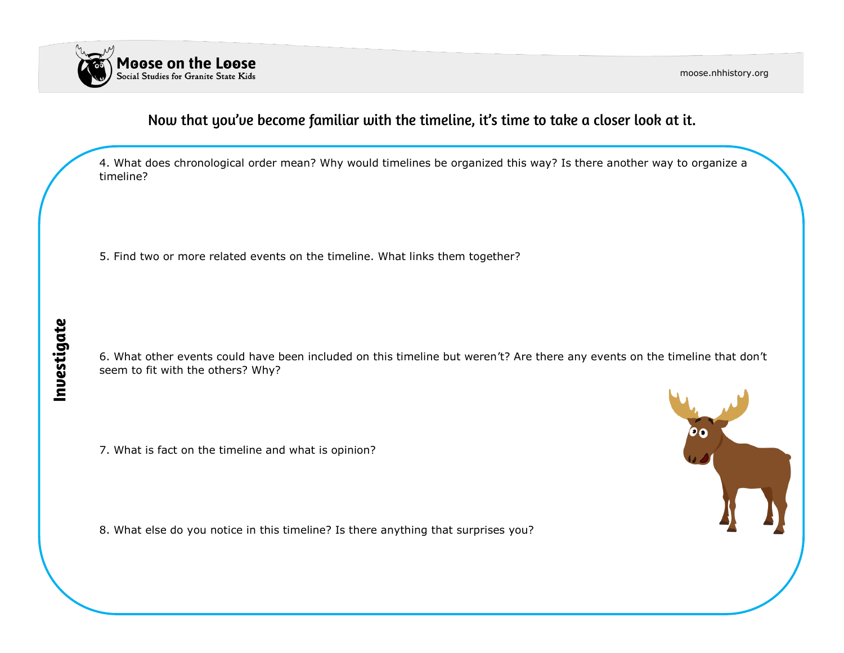

moose.nhhistory.org

## Now that you've become familiar with the timeline, it's time to take a closer look at it.

4. What does chronological order mean? Why would timelines be organized this way? Is there another way to organize a timeline?

5. Find two or more related events on the timeline. What links them together?

6. What other events could have been included on this timeline but weren't? Are there any events on the timeline that don't seem to fit with the others? Why?

7. What is fact on the timeline and what is opinion?

8. What else do you notice in this timeline? Is there anything that surprises you?